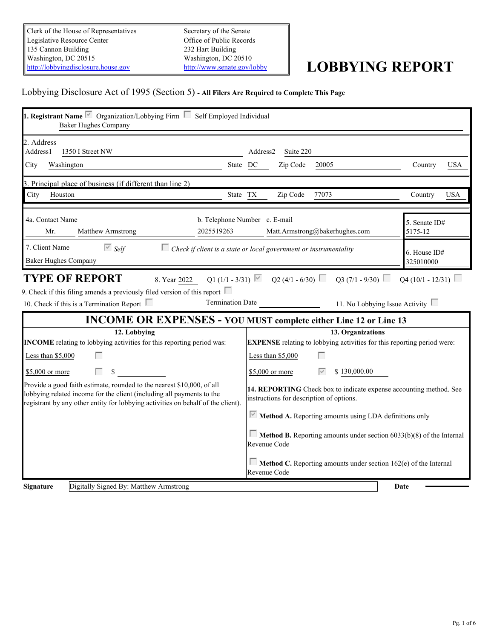Clerk of the House of Representatives Legislative Resource Center 135 Cannon Building Washington, DC 20515<br>
Mushington, DC 20510<br>
http://lobbyingdisclosure.house.gov<br>
http://www.senate.gov/lobby [http://lobbyingdisclosure.house.gov](http://lobbyingdisclosure.house.gov/)

Secretary of the Senate Office of Public Records 232 Hart Building Washington, DC 20510

# <http://www.senate.gov/lobby> **LOBBYING REPORT**

# Lobbying Disclosure Act of 1995 (Section 5) **- All Filers Are Required to Complete This Page**

| <b>1. Registrant Name</b> $\overline{\triangledown}$ Organization/Lobbying Firm $\overline{\square}$ Self Employed Individual<br><b>Baker Hughes Company</b>                                                                        |                                                                          |                                          |                                                                                |                                                             |            |
|-------------------------------------------------------------------------------------------------------------------------------------------------------------------------------------------------------------------------------------|--------------------------------------------------------------------------|------------------------------------------|--------------------------------------------------------------------------------|-------------------------------------------------------------|------------|
| 2. Address<br>Address1<br>1350 I Street NW                                                                                                                                                                                          |                                                                          | Address2<br>Suite 220                    |                                                                                |                                                             |            |
| Washington<br>City                                                                                                                                                                                                                  | State DC                                                                 | Zip Code                                 | 20005                                                                          | Country                                                     | <b>USA</b> |
| 3. Principal place of business (if different than line 2)                                                                                                                                                                           |                                                                          |                                          |                                                                                |                                                             |            |
| City Houston                                                                                                                                                                                                                        | State TX                                                                 | Zip Code                                 | 77073                                                                          | Country                                                     | <b>USA</b> |
| 4a. Contact Name<br>Mr.<br>Matthew Armstrong                                                                                                                                                                                        | b. Telephone Number c. E-mail<br>2025519263                              |                                          | Matt.Armstrong@bakerhughes.com                                                 | 5. Senate ID#<br>5175-12                                    |            |
| 7. Client Name<br>$\overline{\triangleright}$ Self<br><b>Baker Hughes Company</b>                                                                                                                                                   | $\Box$ Check if client is a state or local government or instrumentality |                                          |                                                                                | 6. House ID#<br>325010000                                   |            |
| <b>TYPE OF REPORT</b><br>9. Check if this filing amends a previously filed version of this report $\Box$<br>10. Check if this is a Termination Report $\Box$                                                                        | Q1 (1/1 - 3/31) $\sqrt{ }$<br>8. Year 2022<br><b>Termination Date</b>    |                                          | $Q2(4/1 - 6/30)$ $Q3(7/1 - 9/30)$                                              | $Q4(10/1 - 12/31)$<br>11. No Lobbying Issue Activity $\Box$ |            |
| 12. Lobbying                                                                                                                                                                                                                        | <b>INCOME OR EXPENSES - YOU MUST complete either Line 12 or Line 13</b>  |                                          | 13. Organizations                                                              |                                                             |            |
| INCOME relating to lobbying activities for this reporting period was:                                                                                                                                                               |                                                                          |                                          | <b>EXPENSE</b> relating to lobbying activities for this reporting period were: |                                                             |            |
| Г<br>Less than $$5,000$                                                                                                                                                                                                             |                                                                          | Less than $$5,000$                       |                                                                                |                                                             |            |
| \$5,000 or more<br>П.<br>-S                                                                                                                                                                                                         |                                                                          | \$5,000 or more                          | \$130,000.00                                                                   |                                                             |            |
| Provide a good faith estimate, rounded to the nearest \$10,000, of all<br>lobbying related income for the client (including all payments to the<br>registrant by any other entity for lobbying activities on behalf of the client). |                                                                          | instructions for description of options. | 14. REPORTING Check box to indicate expense accounting method. See             |                                                             |            |
|                                                                                                                                                                                                                                     |                                                                          |                                          | $\triangleright$ Method A. Reporting amounts using LDA definitions only        |                                                             |            |
|                                                                                                                                                                                                                                     |                                                                          | Revenue Code                             | <b>Method B.</b> Reporting amounts under section $6033(b)(8)$ of the Internal  |                                                             |            |
|                                                                                                                                                                                                                                     |                                                                          | Revenue Code                             | $\Box$ Method C. Reporting amounts under section 162(e) of the Internal        |                                                             |            |
| Digitally Signed By: Matthew Armstrong<br><b>Signature</b>                                                                                                                                                                          |                                                                          |                                          |                                                                                | Date                                                        |            |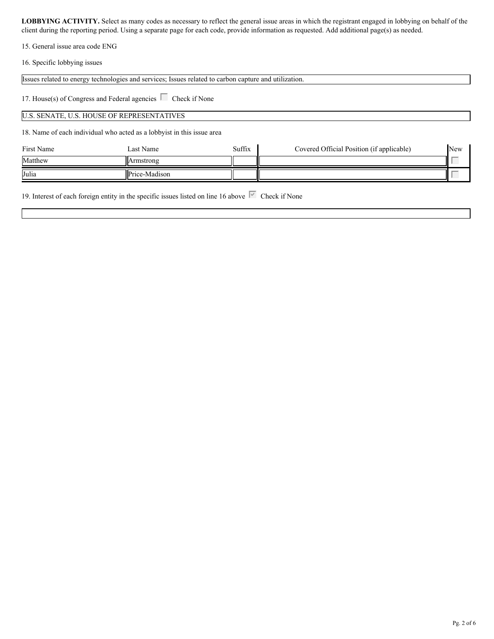15. General issue area code ENG

16. Specific lobbying issues

Issues related to energy technologies and services; Issues related to carbon capture and utilization.

17. House(s) of Congress and Federal agencies  $\Box$  Check if None

#### U.S. SENATE, U.S. HOUSE OF REPRESENTATIVES

18. Name of each individual who acted as a lobbyist in this issue area

| First Name | Last Name            | Suffix | Covered Official Position (if applicable) | New |  |
|------------|----------------------|--------|-------------------------------------------|-----|--|
| Matthew    | Armstrong            |        |                                           |     |  |
| Julia      | <b>Price-Madison</b> |        |                                           |     |  |

19. Interest of each foreign entity in the specific issues listed on line 16 above  $\overline{\triangledown}$  Check if None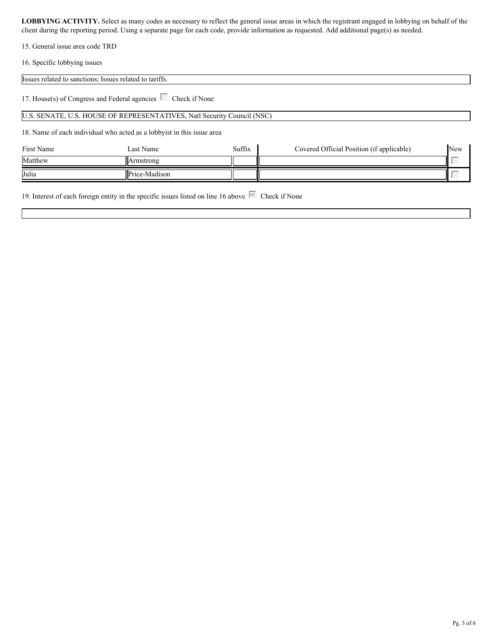15. General issue area code TRD

16. Specific lobbying issues

| Issues related to sanctions; Issues related to tariffs.          |  |
|------------------------------------------------------------------|--|
|                                                                  |  |
| 17. House(s) of Congress and Federal agencies L<br>Check if None |  |

U.S. SENATE, U.S. HOUSE OF REPRESENTATIVES, Natl Security Council (NSC)

18. Name of each individual who acted as a lobbyist in this issue area

| First Name | Last Name     | Suffix | Covered Official Position (if applicable) | New                    |  |
|------------|---------------|--------|-------------------------------------------|------------------------|--|
| Matthew    | Armstrong     |        |                                           | $\sim$                 |  |
| Julia      | Price-Madison |        |                                           | <b>Service Control</b> |  |

19. Interest of each foreign entity in the specific issues listed on line 16 above  $\overline{\triangledown}$  Check if None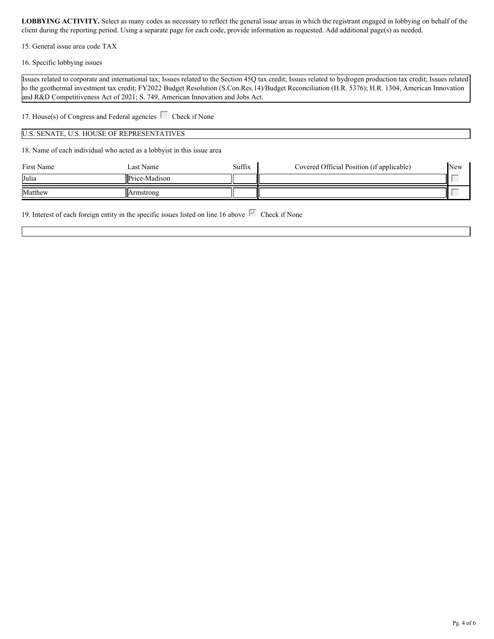15. General issue area code TAX

16. Specific lobbying issues

Issues related to corporate and international tax; Issues related to the Section 45Q tax credit; Issues related to hydrogen production tax credit; Issues related to the geothermal investment tax credit; FY2022 Budget Resolution (S.Con.Res.14)/Budget Reconciliation (H.R. 5376); H.R. 1304, American Innovation and R&D Competitiveness Act of 2021; S. 749, American Innovation and Jobs Act.

17. House(s) of Congress and Federal agencies  $\Box$  Check if None

U.S. SENATE, U.S. HOUSE OF REPRESENTATIVES

18. Name of each individual who acted as a lobbyist in this issue area

| First Name | Last Name     | Suffix | Covered Official Position (if applicable) | New |  |
|------------|---------------|--------|-------------------------------------------|-----|--|
| Julia      | Price-Madison |        |                                           |     |  |
| Matthew    | Armstrong     |        |                                           |     |  |

19. Interest of each foreign entity in the specific issues listed on line 16 above  $\overline{\mathbb{C}}$  Check if None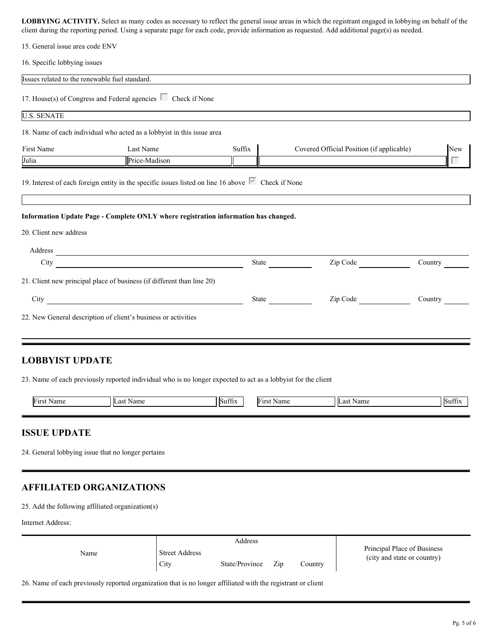| 15. General issue area code ENV |  |
|---------------------------------|--|
|---------------------------------|--|

16. Specific lobbying issues

| Issues related to the renewable fuel standard.                                                                              |                                                                                                                                                                                                                                |                      |                                           |         |
|-----------------------------------------------------------------------------------------------------------------------------|--------------------------------------------------------------------------------------------------------------------------------------------------------------------------------------------------------------------------------|----------------------|-------------------------------------------|---------|
| 17. House(s) of Congress and Federal agencies $\Box$ Check if None                                                          |                                                                                                                                                                                                                                |                      |                                           |         |
| <b>U.S. SENATE</b>                                                                                                          |                                                                                                                                                                                                                                |                      |                                           |         |
| 18. Name of each individual who acted as a lobbyist in this issue area                                                      |                                                                                                                                                                                                                                |                      |                                           |         |
| First Name                                                                                                                  | Last Name                                                                                                                                                                                                                      | Suffix               | Covered Official Position (if applicable) | New     |
| Julia                                                                                                                       | Price-Madison                                                                                                                                                                                                                  |                      |                                           | Г       |
| 19. Interest of each foreign entity in the specific issues listed on line 16 above $\overline{\triangledown}$ Check if None |                                                                                                                                                                                                                                |                      |                                           |         |
| Information Update Page - Complete ONLY where registration information has changed.                                         |                                                                                                                                                                                                                                |                      |                                           |         |
| 20. Client new address                                                                                                      |                                                                                                                                                                                                                                |                      |                                           |         |
| Address                                                                                                                     |                                                                                                                                                                                                                                |                      |                                           |         |
| City                                                                                                                        | <u> 1980 - Johann Barbara, martxa eta politikar</u>                                                                                                                                                                            |                      | State Zip Code                            | Country |
| 21. Client new principal place of business (if different than line 20)                                                      |                                                                                                                                                                                                                                |                      |                                           |         |
|                                                                                                                             | City of the contract of the contract of the contract of the contract of the contract of the contract of the contract of the contract of the contract of the contract of the contract of the contract of the contract of the co |                      | Zip Code                                  |         |
| 22. New General description of client's business or activities                                                              |                                                                                                                                                                                                                                |                      |                                           |         |
| <b>LOBBYIST UPDATE</b>                                                                                                      |                                                                                                                                                                                                                                |                      |                                           |         |
| 23. Name of each previously reported individual who is no longer expected to act as a lobbyist for the client               |                                                                                                                                                                                                                                |                      |                                           |         |
| First Name                                                                                                                  | Last Name                                                                                                                                                                                                                      | Suffix<br>First Name | Last Name                                 | Suffix  |
| <b>ISSUE UPDATE</b>                                                                                                         |                                                                                                                                                                                                                                |                      |                                           |         |
| 24. General lobbying issue that no longer pertains                                                                          |                                                                                                                                                                                                                                |                      |                                           |         |
| <b>AFFILIATED ORGANIZATIONS</b>                                                                                             |                                                                                                                                                                                                                                |                      |                                           |         |

25. Add the following affiliated organization(s)

Internet Address:

|      |                               | Address        |     |         |                                                            |
|------|-------------------------------|----------------|-----|---------|------------------------------------------------------------|
| Name | <b>Street Address</b><br>City | State/Province | Zip | Country | Principal Place of Business<br>(city and state or country) |

26. Name of each previously reported organization that is no longer affiliated with the registrant or client